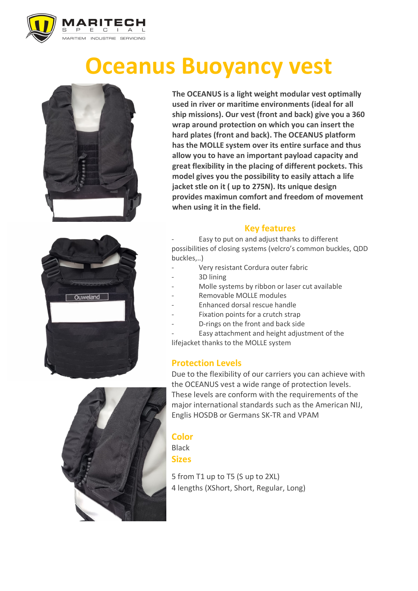

# **Oceanus Buoyancy vest**





**The OCEANUS is a light weight modular vest optimally used in river or maritime environments (ideal for all ship missions). Our vest (front and back) give you a 360 wrap around protection on which you can insert the hard plates (front and back). The OCEANUS platform has the MOLLE system over its entire surface and thus allow you to have an important payload capacity and great flexibility in the placing of different pockets. This model gives you the possibility to easily attach a life jacket stle on it ( up to 275N). Its unique design provides maximun comfort and freedom of movement when using it in the field.** 

## **Key features**

Easy to put on and adjust thanks to different possibilities of closing systems (velcro's common buckles, QDD buckles,..)

- Very resistant Cordura outer fabric
- 3D lining
- Molle systems by ribbon or laser cut available
- Removable MOLLE modules
- Enhanced dorsal rescue handle
- Fixation points for a crutch strap
- D-rings on the front and back side

Easy attachment and height adjustment of the lifejacket thanks to the MOLLE system

## **Protection Levels**

Due to the flexibility of our carriers you can achieve with the OCEANUS vest a wide range of protection levels. These levels are conform with the requirements of the major international standards such as the American NIJ, Englis HOSDB or Germans SK-TR and VPAM

#### **Color** Black

**Sizes**

5 from T1 up to T5 (S up to 2XL) 4 lengths (XShort, Short, Regular, Long)